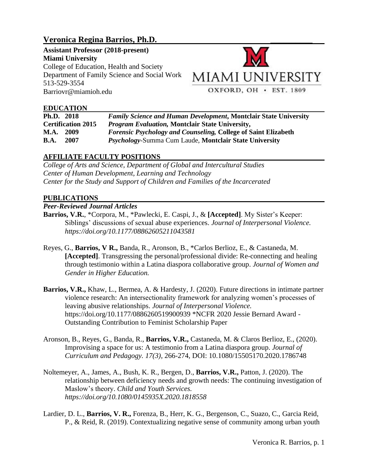# **Veronica Regina Barrios, Ph.D. \_\_\_\_\_\_\_\_\_\_**

**Assistant Professor (2018-present) Miami University** College of Education, Health and Society Department of Family Science and Social Work 513-529-3554 Barriovr@miamioh.edu



## **EDUCATION**

| Ph.D. 2018                | <b>Family Science and Human Development, Montclair State University</b> |
|---------------------------|-------------------------------------------------------------------------|
| <b>Certification 2015</b> | <i>Program Evaluation, Montclair State University,</i>                  |
| <b>M.A.</b><br>- 2009     | <i>Forensic Psychology and Counseling, College of Saint Elizabeth</i>   |
| <b>B.A.</b><br>2007       | Psychology-Summa Cum Laude, Montclair State University                  |

## **AFFILIATE FACULTY POSITIONS**

*College of Arts and Science, Department of Global and Intercultural Studies Center of Human Development, Learning and Technology Center for the Study and Support of Children and Families of the Incarcerated*

### **PUBLICATIONS**

### *Peer-Reviewed Journal Articles*

- **Barrios, V.R.**, \*Corpora, M., \*Pawlecki, E. Caspi, J., & **[Accepted]**. My Sister's Keeper: Siblings' discussions of sexual abuse experiences. *Journal of Interpersonal Violence. https://doi.org/10.1177/08862605211043581*
- Reyes, G., **Barrios, V R.,** Banda, R., Aronson, B., \*Carlos Berlioz, E., & Castaneda, M. **[Accepted]**. Transgressing the personal/professional divide: Re-connecting and healing through testimonio within a Latina diaspora collaborative group. *Journal of Women and Gender in Higher Education.*
- **Barrios, V.R.,** Khaw, L., Bermea, A. & Hardesty, J. (2020). Future directions in intimate partner violence research: An intersectionality framework for analyzing women's processes of leaving abusive relationships. *Journal of Interpersonal Violence.*  https://doi.org/10.1177/0886260519900939 \*NCFR 2020 Jessie Bernard Award - Outstanding Contribution to Feminist Scholarship Paper
- Aronson, B., Reyes, G., Banda, R., **Barrios, V.R.,** Castaneda, M. & Claros Berlioz, E., (2020). Improvising a space for us: A testimonio from a Latina diaspora group. *Journal of Curriculum and Pedagogy. 17(3),* 266-274, DOI: 10.1080/15505170.2020.1786748
- Noltemeyer, A., James, A., Bush, K. R., Bergen, D., **Barrios, V.R.,** Patton, J. (2020). The relationship between deficiency needs and growth needs: The continuing investigation of Maslow's theory. *Child and Youth Services. https://doi.org/10.1080/0145935X.2020.1818558*
- Lardier, D. L., **Barrios, V. R.,** Forenza, B., Herr, K. G., Bergenson, C., Suazo, C., Garcia Reid, P., & Reid, R. (2019). Contextualizing negative sense of community among urban youth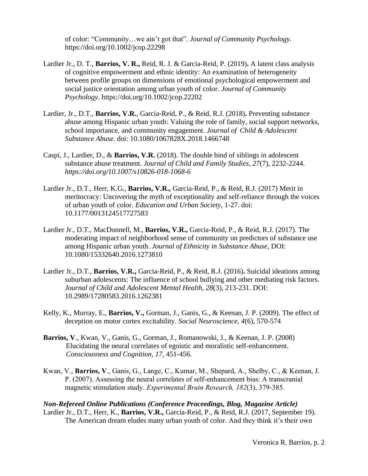of color: "Community…we ain't got that". *Journal of Community Psychology.* https://doi.org/10.1002/jcop.22298

- Lardier Jr., D. T., **Barrios, V. R.,** Reid, R. J. & Garcia-Reid, P. (2019)**.** A latent class analysis of cognitive empowerment and ethnic identity: An examination of heterogeneity between profile groups on dimensions of emotional psychological empowerment and social justice orientation among urban youth of color. *Journal of Community Psychology.* https://doi.org/10.1002/jcop.22202
- Lardier, Jr., D.T., **Barrios, V.R.**, Garcia-Reid, P., & Reid, R.J. (2018)**.** Preventing substance abuse among Hispanic urban youth: Valuing the role of family, social support networks, school importance, and community engagement. *Journal of Child & Adolescent Substance Abuse.* doi: 10.1080/1067828X.2018.1466748
- Caspi, J., Lardier, D., & **Barrios, V.R.** (2018). The double bind of siblings in adolescent substance abuse treatment. *Journal of Child and Family Studies, 27*(7), 2232-2244. *https://doi.org/10.1007/s10826-018-1068-6*
- Lardier Jr., D.T., Herr, K.G., **Barrios, V.R.,** Garcia-Reid, P., & Reid, R.J. (2017) Merit in meritocracy: Uncovering the myth of exceptionality and self-reliance through the voices of urban youth of color. *Education and Urban Society*, 1-27. doi: 10.1177/0013124517727583
- Lardier Jr., D.T., MacDonnell, M., **Barrios, V.R.,** Garcia-Reid, P., & Reid, R.J. (2017). The moderating impact of neighborhood sense of community on predictors of substance use among Hispanic urban youth. *Journal of Ethnicity in Substance Abuse*, DOI: 10.1080/15332640.2016.1273810
- Lardier Jr., D.T., **Barrios, V.R.,** Garcia-Reid, P., & Reid, R.J. (2016)**.** Suicidal ideations among suburban adolescents: The influence of school bullying and other mediating risk factors. *Journal of Child and Adolescent Mental Health, 28*(3), 213-231. DOI: 10.2989/17280583.2016.1262381
- Kelly, K., Murray, E., **Barrios, V.,** Gorman, J., Ganis, G., & Keenan, J. P. (2009). The effect of deception on motor cortex excitability. *Social Neuroscience, 4*(6), 570-574
- **Barrios, V**., Kwan, V., Ganis, G., Gorman, J., Romanowski, J., & Keenan, J. P. (2008) Elucidating the neural correlates of egoistic and moralistic self-enhancement. *[Consciousness and Cognition,](http://www.sciencedirect.com/science/journal/10538100) 17*, 451-456.
- Kwan, V., **Barrios, V**., Ganis, G., Lange, C., Kumar, M., Shepard, A., Shelby, C., & Keenan, J. P. (2007). Assessing the neural correlates of self-enhancement bias: A transcranial magnetic stimulation study. *Experimental Brain Research, 182*(3), 379-385.

### *Non-Refereed Online Publications (Conference Proceedings, Blog, Magazine Article)* Lardier Jr., D.T., Herr, K., **Barrios, V.R.,** Garcia-Reid, P., & Reid, R.J. (2017, September 19). The American dream eludes many urban youth of color. And they think it's their own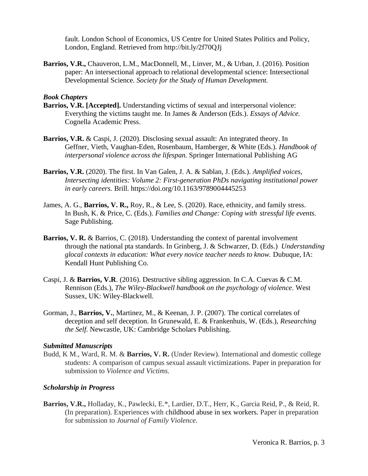fault. London School of Economics, US Centre for United States Politics and Policy, London, England. Retrieved from http://bit.ly/2f70QJj

**Barrios, V.R.,** Chauveron, L.M., MacDonnell, M., Linver, M., & Urban, J. (2016). Position paper: An intersectional approach to relational developmental science: Intersectional Developmental Science. *Society for the Study of Human Development.*

### *Book Chapters*

- **Barrios, V.R. [Accepted].** Understanding victims of sexual and interpersonal violence: Everything the victims taught me. In James & Anderson (Eds.). *Essays of Advice.* Cognella Academic Press.
- **Barrios, V.R.** & Caspi, J. (2020). Disclosing sexual assault: An integrated theory. In Geffner, Vieth, Vaughan-Eden, Rosenbaum, Hamberger, & White (Eds.). *Handbook of interpersonal violence across the lifespan.* Springer International Publishing AG
- **Barrios, V.R.** (2020). The first. In Van Galen, J. A. & Sablan, J. (Eds.). *Amplified voices, Intersecting identities: Volume 2: First-generation PhDs navigating institutional power in early careers.* Brill. https://doi.org/10.1163/9789004445253
- James, A. G., **Barrios, V. R.,** Roy, R., & Lee, S. (2020). Race, ethnicity, and family stress. In Bush, K. & Price, C. (Eds.). *Families and Change: Coping with stressful life events.* Sage Publishing.
- **Barrios, V. R.** & Barrios, C. (2018). Understanding the context of parental involvement through the national pta standards. In Grinberg, J. & Schwarzer, D. (Eds.) *Understanding glocal contexts in education: What every novice teacher needs to know.* Dubuque, IA: Kendall Hunt Publishing Co.
- Caspi, J. & **Barrios, V.R**. (2016). Destructive sibling aggression. In C.A. Cuevas & C.M. Rennison (Eds.), *The Wiley-Blackwell handbook on the psychology of violence*. West Sussex, UK: Wiley-Blackwell.
- Gorman, J., **Barrios, V.**, Martinez, M., & Keenan, J. P. (2007). The cortical correlates of deception and self deception. In Grunewald, E. & Frankenhuis, W. (Eds.), *Researching the Self*. Newcastle, UK: Cambridge Scholars Publishing.

### *Submitted Manuscripts*

Budd, K M., Ward, R. M. & **Barrios, V. R.** (Under Review). International and domestic college students: A comparison of campus sexual assault victimizations. Paper in preparation for submission to *Violence and Victims.*

### *Scholarship in Progress*

**Barrios, V.R.,** Holladay, K., Pawlecki, E.\*, Lardier, D.T., Herr, K., Garcia Reid, P., & Reid, R. (In preparation). Experiences with childhood abuse in sex workers*.* Paper in preparation for submission to *Journal of Family Violence*.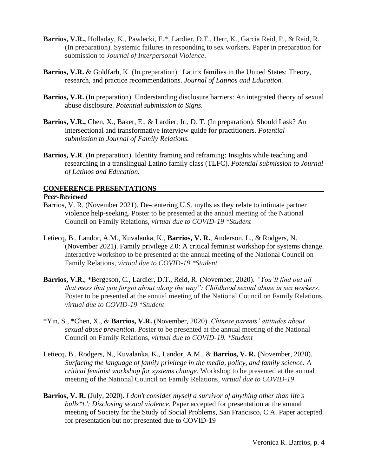- **Barrios, V.R.,** Holladay, K., Pawlecki, E.\*, Lardier, D.T., Herr, K., Garcia Reid, P., & Reid, R. (In preparation). Systemic failures in responding to sex workers*.* Paper in preparation for submission to *Journal of Interpersonal Violence*.
- **Barrios, V.R.** & Goldfarb, K. (In preparation). Latinx families in the United States: Theory, research, and practice recommendations. *Journal of Latinos and Education.*
- **Barrios, V.R.** (In preparation). Understanding disclosure barriers: An integrated theory of sexual abuse disclosure. *Potential submission to Signs.*
- **Barrios, V.R.,** Chen, X., Baker, E., & Lardier, Jr., D. T. (In preparation). Should I ask? An intersectional and transformative interview guide for practitioners. *Potential submission to Journal of Family Relations.*
- **Barrios, V.R**. (In preparation). Identity framing and reframing: Insights while teaching and researching in a translingual Latino family class (TLFC). *Potential submission to Journal of Latinos and Education.*

### **CONFERENCE PRESENTATIONS**

### *Peer-Reviewed*

- Barrios, V. R. (November 2021). De-centering U.S. myths as they relate to intimate partner violence help-seeking. Poster to be presented at the annual meeting of the National Council on Family Relations, *virtual due to COVID-19 \*Student*
- Letiecq, B., Landor, A.M., Kuvalanka, K., **Barrios, V. R.**, Anderson, L., & Rodgers, N. (November 2021). Family privilege 2.0: A critical feminist workshop for systems change. Interactive workshop to be presented at the annual meeting of the National Council on Family Relations, *virtual due to COVID-19 \*Student*
- **Barrios, V.R.**, \*Bergeson, C., Lardier, D.T., Reid, R. (November, 2020). *"You'll find out all that mess that you forgot about along the way": Childhood sexual abuse in sex workers.* Poster to be presented at the annual meeting of the National Council on Family Relations, *virtual due to COVID-19 \*Student*
- \*Yin, S., \*Chen, X., & **Barrios, V.R.** (November, 2020). *Chinese parents' attitudes about sexual abuse prevention.* Poster to be presented at the annual meeting of the National Council on Family Relations, *virtual due to COVID-19. \*Student*
- Letiecq, B., Rodgers, N., Kuvalanka, K., Landor, A.M., & **Barrios, V. R.** (November, 2020). *Surfacing the language of family privilege in the media, policy, and family science: A critical feminist workshop for systems change.* Workshop to be presented at the annual meeting of the National Council on Family Relations, *virtual due to COVID-19*
- **Barrios, V. R.** (July, 2020). *I don't consider myself a survivor of anything other than life's bulls\*t.': Disclosing sexual violence.* Paper accepted for presentation at the annual meeting of Society for the Study of Social Problems, San Francisco, C.A. Paper accepted for presentation but not presented due to COVID-19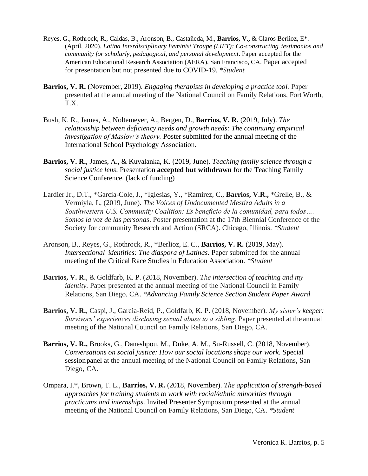- Reyes, G., Rothrock, R., Caldas, B., Aronson, B., Castañeda, M., **Barrios, V.,** & Claros Berlioz, E\*. (April, 2020). *Latina Interdisciplinary Feminist Troupe (LIFT): Co-constructing testimonios and community for scholarly, pedagogical, and personal development*. Paper accepted for the American Educational Research Association (AERA), San Francisco, CA. Paper accepted for presentation but not presented due to COVID-19. *\*Student*
- **Barrios, V. R.** (November, 2019). *Engaging therapists in developing a practice tool.* Paper presented at the annual meeting of the National Council on Family Relations, Fort Worth, T.X.
- Bush, K. R., James, A., Noltemeyer, A., Bergen, D., **Barrios, V. R.** (2019, July). *The relationship between deficiency needs and growth needs: The continuing empirical investigation of Maslow's theory.* Poster submitted for the annual meeting of the International School Psychology Association.
- **Barrios, V. R.**, James, A., & Kuvalanka, K. (2019, June). *Teaching family science through a social justice lens*. Presentation **accepted but withdrawn** for the Teaching Family Science Conference. (lack of funding)
- Lardier Jr., D.T., \*Garcia-Cole, J., \*Iglesias, Y., \*Ramirez, C., **Barrios, V.R.,** \*Grelle, B., & Vermiyla, L, (2019, June). *The Voices of Undocumented Mestiza Adults in a Southwestern U.S. Community Coalition: Es beneficio de la comunidad, para todos…. Somos la voz de las personas*. Poster presentation at the 17th Biennial Conference of the Society for community Research and Action (SRCA). Chicago, Illinois. *\*Student*
- Aronson, B., Reyes, G., Rothrock, R., \*Berlioz, E. C., **Barrios, V. R.** (2019, May). *Intersectional identities: The diaspora of Latinas.* Paper submitted for the annual meeting of the Critical Race Studies in Education Association. *\*Student*
- **Barrios, V. R.**, & Goldfarb, K. P. (2018, November). *The intersection of teaching and my identity*. Paper presented at the annual meeting of the National Council in Family Relations, San Diego, CA. *\*Advancing Family Science Section Student Paper Award*
- **Barrios, V. R.**, Caspi, J., Garcia-Reid, P., Goldfarb, K. P. (2018, November). *My sister's keeper: Survivors' experiences disclosing sexual abuse to a sibling.* Paper presented at the annual meeting of the National Council on Family Relations, San Diego, CA.
- **Barrios, V. R.,** Brooks, G., Daneshpou, M., Duke, A. M., Su-Russell, C. (2018, November). *Conversations on social justice: How our social locations shape our work.* Special sessionpanel at the annual meeting of the National Council on Family Relations, San Diego, CA.
- Ompara, I.\*, Brown, T. L., **Barrios, V. R.** (2018, November). *The application of strength-based approaches for training students to work with racial/ethnic minorities through practicums and internships*. Invited Presenter Symposium presented at the annual meeting of the National Council on Family Relations, San Diego, CA. *\*Student*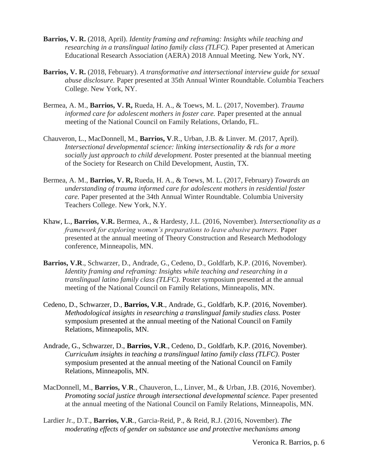- **Barrios, V. R.** (2018, April). *Identity framing and reframing: Insights while teaching and researching in a translingual latino family class (TLFC).* Paper presented at American Educational Research Association (AERA) 2018 Annual Meeting. New York, NY.
- **Barrios, V. R.** (2018, February). *A transformative and intersectional interview guide for sexual abuse disclosure.* Paper presented at 35th Annual Winter Roundtable. Columbia Teachers College. New York, NY.
- Bermea, A. M., **Barrios, V. R,** Rueda, H. A., & Toews, M. L. (2017, November). *Trauma informed care for adolescent mothers in foster care.* Paper presented at the annual meeting of the National Council on Family Relations, Orlando, FL.
- Chauveron, L., MacDonnell, M., **Barrios, V**.R., Urban, J.B. & Linver. M. (2017, April). *Intersectional developmental science: linking intersectionality & rds for a more socially just approach to child development.* Poster presented at the biannual meeting of the Society for Research on Child Development, Austin, TX.
- Bermea, A. M., **Barrios, V. R,** Rueda, H. A., & Toews, M. L. (2017, February) *Towards an understanding of trauma informed care for adolescent mothers in residential foster care.* Paper presented at the 34th Annual Winter Roundtable. Columbia University Teachers College. New York, N.Y.
- Khaw, L., **Barrios, V.R.** Bermea, A., & Hardesty, J.L. (2016, November). *Intersectionality as a framework for exploring women's preparations to leave abusive partners.* Paper presented at the annual meeting of Theory Construction and Research Methodology conference, Minneapolis, MN.
- **Barrios, V.R**., Schwarzer, D., Andrade, G., Cedeno, D., Goldfarb, K.P. (2016, November). *Identity framing and reframing: Insights while teaching and researching in a translingual latino family class (TLFC).* Poster symposium presented at the annual meeting of the National Council on Family Relations, Minneapolis, MN.
- Cedeno, D., Schwarzer, D., **Barrios, V.R**., Andrade, G., Goldfarb, K.P. (2016, November). *Methodological insights in researching a translingual family studies class.* Poster symposium presented at the annual meeting of the National Council on Family Relations, Minneapolis, MN.
- Andrade, G., Schwarzer, D., **Barrios, V.R**., Cedeno, D., Goldfarb, K.P. (2016, November). *Curriculum insights in teaching a translingual latino family class (TLFC).* Poster symposium presented at the annual meeting of the National Council on Family Relations, Minneapolis, MN.
- MacDonnell, M., **Barrios, V**.**R**., Chauveron, L., Linver, M., & Urban, J.B. (2016, November). *Promoting social justice through intersectional developmental science.* Paper presented at the annual meeting of the National Council on Family Relations, Minneapolis, MN.
- Lardier Jr., D.T., **Barrios, V.R**., Garcia-Reid, P., & Reid, R.J. (2016, November). *The moderating effects of gender on substance use and protective mechanisms among*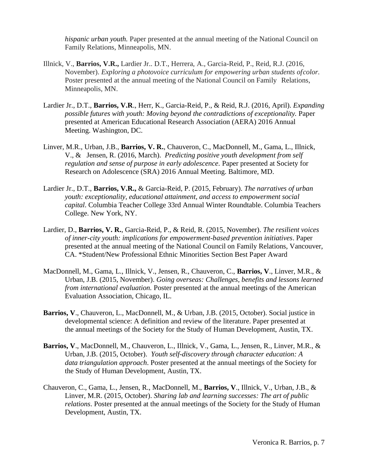*hispanic urban youth.* Paper presented at the annual meeting of the National Council on Family Relations, Minneapolis, MN.

- Illnick, V., **Barrios, V.R.,** Lardier Jr.. D.T., Herrera, A., Garcia-Reid, P., Reid, R.J. (2016, November). *Exploring a photovoice curriculum for empowering urban students ofcolor.* Poster presented at the annual meeting of the National Council on Family Relations, Minneapolis, MN.
- Lardier Jr., D.T., **Barrios, V.R**., Herr, K., Garcia-Reid, P., & Reid, R.J. (2016, April). *Expanding possible futures with youth: Moving beyond the contradictions of exceptionality.* Paper presented at American Educational Research Association (AERA) 2016 Annual Meeting. Washington, DC.
- Linver, M.R., Urban, J.B., **Barrios, V. R.**, Chauveron, C., MacDonnell, M., Gama, L., Illnick, V., & Jensen, R. (2016, March). *Predicting positive youth development from self regulation and sense of purpose in early adolescence.* Paper presented at Society for Research on Adolescence (SRA) 2016 Annual Meeting. Baltimore, MD.
- Lardier Jr., D.T., **Barrios, V.R.,** & Garcia-Reid, P. (2015, February). *The narratives of urban youth: exceptionality, educational attainment, and access to empowerment social capital*. Columbia Teacher College 33rd Annual Winter Roundtable. Columbia Teachers College. New York, NY.
- Lardier, D., **Barrios, V. R.**, Garcia-Reid, P., & Reid, R. (2015, November). *The resilient voices of inner-city youth: implications for empowerment-based prevention initiatives*. Paper presented at the annual meeting of the National Council on Family Relations, Vancouver, CA. \*Student/New Professional Ethnic Minorities Section Best Paper Award
- MacDonnell, M., Gama, L., Illnick, V., Jensen, R., Chauveron, C., **Barrios, V**., Linver, M.R., & Urban, J.B. (2015, November). *Going overseas: Challenges, benefits and lessons learned from international evaluation.* Poster presented at the annual meetings of the American Evaluation Association, Chicago, IL.
- **Barrios, V**., Chauveron, L., MacDonnell, M., & Urban, J.B. (2015, October). Social justice in developmental science: A definition and review of the literature. Paper presented at the annual meetings of the Society for the Study of Human Development, Austin, TX.
- **Barrios, V**., MacDonnell, M., Chauveron, L., Illnick, V., Gama, L., Jensen, R., Linver, M.R., & Urban, J.B. (2015, October). *Youth self-discovery through character education: A data triangulation approach*. Poster presented at the annual meetings of the Society for the Study of Human Development, Austin, TX.
- Chauveron, C., Gama, L., Jensen, R., MacDonnell, M., **Barrios, V**., Illnick, V., Urban, J.B., & Linver, M.R. (2015, October). *Sharing lab and learning successes: The art of public relations*. Poster presented at the annual meetings of the Society for the Study of Human Development, Austin, TX.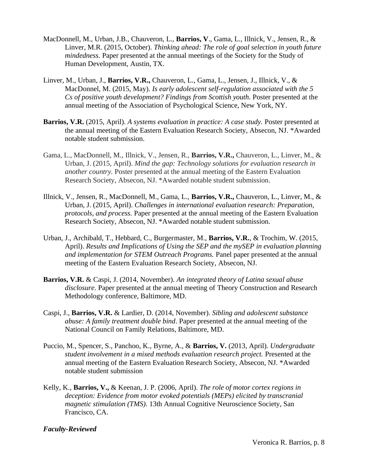- MacDonnell, M., Urban, J.B., Chauveron, L., **Barrios, V**., Gama, L., Illnick, V., Jensen, R., & Linver, M.R. (2015, October). *Thinking ahead: The role of goal selection in youth future mindedness.* Paper presented at the annual meetings of the Society for the Study of Human Development, Austin, TX.
- Linver, M., Urban, J., **Barrios, V.R.,** Chauveron, L., Gama, L., Jensen, J., Illnick, V., & MacDonnel, M. (2015, May). *Is early adolescent self-regulation associated with the 5 Cs of positive youth development? Findings from Scottish youth.* Poster presented at the annual meeting of the Association of Psychological Science, New York, NY.
- **Barrios, V.R.** (2015, April). *A systems evaluation in practice: A case study.* Poster presented at the annual meeting of the Eastern Evaluation Research Society, Absecon, NJ. \*Awarded notable student submission.
- Gama, L., MacDonnell, M., Illnick, V., Jensen, R., **Barrios, V.R.,** Chauveron, L., Linver, M., & Urban, J. (2015, April). *Mind the gap: Technology solutions for evaluation research in another country.* Poster presented at the annual meeting of the Eastern Evaluation Research Society, Absecon, NJ. \*Awarded notable student submission.
- Illnick, V., Jensen, R., MacDonnell, M., Gama, L., **Barrios, V.R.,** Chauveron, L., Linver, M., & Urban, J. (2015, April). *Challenges in international evaluation research: Preparation, protocols, and process.* Paper presented at the annual meeting of the Eastern Evaluation Research Society, Absecon, NJ. \*Awarded notable student submission.
- Urban, J., Archibald, T., Hebbard, C., Burgermaster, M., **Barrios, V.R.**, & Trochim, W. (2015, April). *Results and Implications of Using the SEP and the mySEP in evaluation planning and implementation for STEM Outreach Programs.* Panel paper presented at the annual meeting of the Eastern Evaluation Research Society, Absecon, NJ.
- **Barrios, V.R.** & Caspi, J. (2014, November). *An integrated theory of Latina sexual abuse disclosure*. Paper presented at the annual meeting of Theory Construction and Research Methodology conference, Baltimore, MD.
- Caspi, J., **Barrios, V.R.** & Lardier, D. (2014, November). *Sibling and adolescent substance abuse: A family treatment double bind*. Paper presented at the annual meeting of the National Council on Family Relations, Baltimore, MD.
- Puccio, M., Spencer, S., Panchoo, K., Byrne, A., & **Barrios, V.** (2013, April). *Undergraduate student involvement in a mixed methods evaluation research project.* Presented at the annual meeting of the Eastern Evaluation Research Society, Absecon, NJ. \*Awarded notable student submission
- Kelly, K., **Barrios, V.,** & Keenan, J. P. (2006, April). *The role of motor cortex regions in deception: Evidence from motor evoked potentials (MEPs) elicited by transcranial magnetic stimulation (TMS).* 13th Annual Cognitive Neuroscience Society, San Francisco, CA.

### *Faculty-Reviewed*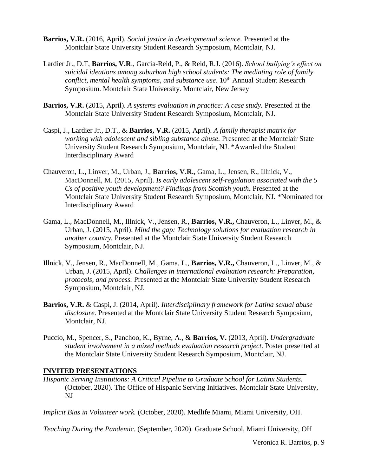- **Barrios, V.R.** (2016, April). *Social justice in developmental science.* Presented at the Montclair State University Student Research Symposium, Montclair, NJ.
- Lardier Jr., D.T, **Barrios, V.R**., Garcia-Reid, P., & Reid, R.J. (2016). *School bullying's effect on suicidal ideations among suburban high school students: The mediating role of family conflict, mental health symptoms, and substance use.* 10<sup>th</sup> Annual Student Research Symposium. Montclair State University. Montclair, New Jersey
- **Barrios, V.R.** (2015, April). *A systems evaluation in practice: A case study.* Presented at the Montclair State University Student Research Symposium, Montclair, NJ.
- Caspi, J., Lardier Jr., D.T., & **Barrios, V.R.** (2015, April). *A family therapist matrix for working with adolescent and sibling substance abuse.* Presented at the Montclair State University Student Research Symposium, Montclair, NJ. \*Awarded the Student Interdisciplinary Award
- Chauveron, L., Linver, M., Urban, J., **Barrios, V.R.,** Gama, L., Jensen, R., Illnick, V., MacDonnell, M. (2015, April). *Is early adolescent self-regulation associated with the 5 Cs of positive youth development? Findings from Scottish youth***.** Presented at the Montclair State University Student Research Symposium, Montclair, NJ. \*Nominated for Interdisciplinary Award
- Gama, L., MacDonnell, M., Illnick, V., Jensen, R., **Barrios, V.R.,** Chauveron, L., Linver, M., & Urban, J. (2015, April). *Mind the gap: Technology solutions for evaluation research in another country.* Presented at the Montclair State University Student Research Symposium, Montclair, NJ.
- Illnick, V., Jensen, R., MacDonnell, M., Gama, L., **Barrios, V.R.,** Chauveron, L., Linver, M., & Urban, J. (2015, April). *Challenges in international evaluation research: Preparation, protocols, and process.* Presented at the Montclair State University Student Research Symposium, Montclair, NJ.
- **Barrios, V.R.** & Caspi, J. (2014, April). *Interdisciplinary framework for Latina sexual abuse disclosure*. Presented at the Montclair State University Student Research Symposium, Montclair, NJ.
- Puccio, M., Spencer, S., Panchoo, K., Byrne, A., & **Barrios, V.** (2013, April). *Undergraduate student involvement in a mixed methods evaluation research project*. Poster presented at the Montclair State University Student Research Symposium, Montclair, NJ.

### **INVITED PRESENTATIONS**

*Hispanic Serving Institutions: A Critical Pipeline to Graduate School for Latinx Students.* (October, 2020). The Office of Hispanic Serving Initiatives. Montclair State University, NJ

*Implicit Bias in Volunteer work.* (October, 2020). Medlife Miami, Miami University, OH.

*Teaching During the Pandemic.* (September, 2020). Graduate School, Miami University, OH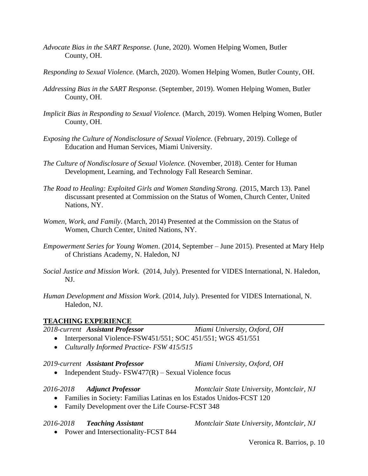- *Advocate Bias in the SART Response.* (June, 2020). Women Helping Women, Butler County, OH.
- *Responding to Sexual Violence.* (March, 2020). Women Helping Women, Butler County, OH.
- *Addressing Bias in the SART Response.* (September, 2019). Women Helping Women, Butler County, OH.
- *Implicit Bias in Responding to Sexual Violence.* (March, 2019). Women Helping Women, Butler County, OH.
- *Exposing the Culture of Nondisclosure of Sexual Violence.* (February, 2019). College of Education and Human Services, Miami University.
- *The Culture of Nondisclosure of Sexual Violence.* (November, 2018). Center for Human Development, Learning, and Technology Fall Research Seminar.
- *The Road to Healing: Exploited Girls and Women Standing Strong.* (2015, March 13). Panel discussant presented at Commission on the Status of Women, Church Center, United Nations, NY.
- *Women, Work, and Family*. (March, 2014) Presented at the Commission on the Status of Women, Church Center, United Nations, NY.
- *Empowerment Series for Young Women*. (2014, September June 2015). Presented at Mary Help of Christians Academy, N. Haledon, NJ
- *Social Justice and Mission Work*. (2014, July). Presented for VIDES International, N. Haledon, NJ.
- *Human Development and Mission Work*. (2014, July). Presented for VIDES International, N. Haledon, NJ.

### **TEACHING EXPERIENCE**

### *2018-current Assistant Professor Miami University, Oxford, OH* • Interpersonal Violence-FSW451/551; SOC 451/551; WGS 451/551

• *Culturally Informed Practice- FSW 415/515*

### *2019-current Assistant Professor Miami University, Oxford, OH*

• Independent Study-  $FSW477(R)$  – Sexual Violence focus

### *2016-2018 Adjunct Professor Montclair State University, Montclair, NJ*

- Families in Society: Familias Latinas en los Estados Unidos-FCST 120
- Family Development over the Life Course-FCST 348

• Power and Intersectionality-FCST 844

*2016-2018 Teaching Assistant Montclair State University, Montclair, NJ*

Veronica R. Barrios, p. 10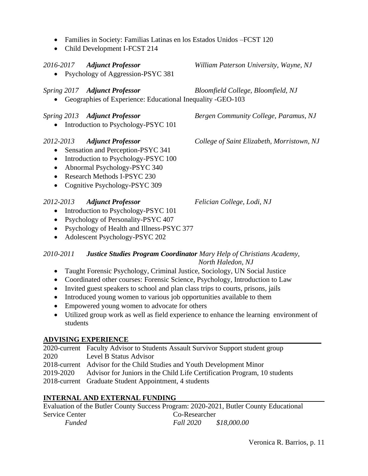- Families in Society: Familias Latinas en los Estados Unidos –FCST 120
- Child Development I-FCST 214

• Psychology of Aggression-PSYC 381

## *Spring 2017 Adjunct Professor Bloomfield College, Bloomfield, NJ*

• Geographies of Experience: Educational Inequality -GEO-103

• Introduction to Psychology-PSYC 101

- Sensation and Perception-PSYC 341
- Introduction to Psychology-PSYC 100
- Abnormal Psychology-PSYC 340
- Research Methods I-PSYC 230
- Cognitive Psychology-PSYC 309

## *2012-2013 Adjunct Professor Felician College, Lodi, NJ*

- Introduction to Psychology-PSYC 101
- Psychology of Personality-PSYC 407
- Psychology of Health and Illness-PSYC 377
- Adolescent Psychology-PSYC 202

## *2010-2011 Justice Studies Program Coordinator Mary Help of Christians Academy, North Haledon, NJ*

- Taught Forensic Psychology, Criminal Justice, Sociology, UN Social Justice
- Coordinated other courses: Forensic Science, Psychology, Introduction to Law
- Invited guest speakers to school and plan class trips to courts, prisons, jails
- Introduced young women to various job opportunities available to them
- Empowered young women to advocate for others
- Utilized group work as well as field experience to enhance the learning environment of students

## **ADVISING EXPERIENCE**

|      | 2020-current Faculty Advisor to Students Assault Survivor Support student group    |
|------|------------------------------------------------------------------------------------|
| 2020 | Level B Status Advisor                                                             |
|      | 2018-current Advisor for the Child Studies and Youth Development Minor             |
|      | 2019-2020 Advisor for Juniors in the Child Life Certification Program, 10 students |
|      | 2018-current Graduate Student Appointment, 4 students                              |
|      |                                                                                    |

# **INTERNAL AND EXTERNAL FUNDING**

Evaluation of the Butler County Success Program: 2020-2021, Butler County Educational Service Center Co-Researcher *Funded Fall 2020 \$18,000.00* 

*2016-2017 Adjunct Professor William Paterson University, Wayne, NJ*

*Spring 2013 Adjunct Professor Bergen Community College, Paramus, NJ*

*2012-2013 Adjunct Professor College of Saint Elizabeth, Morristown, NJ*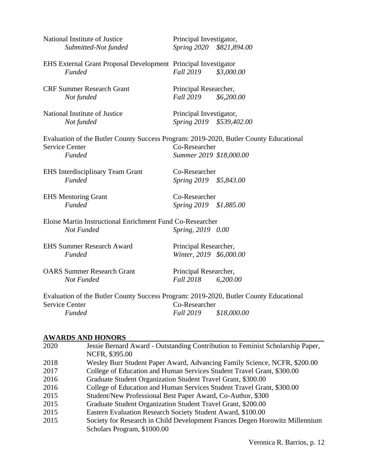| National Institute of Justice<br>Submitted-Not funded                                 | Principal Investigator,<br>Spring 2020 \$821,894.00 |             |
|---------------------------------------------------------------------------------------|-----------------------------------------------------|-------------|
| EHS External Grant Proposal Development Principal Investigator<br><b>Funded</b>       | <b>Fall 2019</b>                                    | \$3,000.00  |
| <b>CRF Summer Research Grant</b><br>Not funded                                        | Principal Researcher,<br><i>Fall</i> 2019           | \$6,200.00  |
| National Institute of Justice<br>Not funded                                           | Principal Investigator,<br>Spring 2019 \$539,402.00 |             |
| Evaluation of the Butler County Success Program: 2019-2020, Butler County Educational |                                                     |             |
| <b>Service Center</b>                                                                 | Co-Researcher                                       |             |
| <b>Funded</b>                                                                         | Summer 2019 \$18,000.00                             |             |
| <b>EHS</b> Interdisciplinary Team Grant                                               | Co-Researcher                                       |             |
| <b>Funded</b>                                                                         | Spring 2019 \$5,843.00                              |             |
| <b>EHS</b> Mentoring Grant                                                            | Co-Researcher                                       |             |
| <b>Funded</b>                                                                         | Spring 2019 \$1,885.00                              |             |
| Eloise Martin Instructional Enrichment Fund Co-Researcher                             |                                                     |             |
| Not Funded                                                                            | Spring, 2019 0.00                                   |             |
| <b>EHS Summer Research Award</b>                                                      | Principal Researcher,                               |             |
| <b>Funded</b>                                                                         | Winter, 2019 \$6,000.00                             |             |
| <b>OARS Summer Research Grant</b>                                                     | Principal Researcher,                               |             |
| Not Funded                                                                            | <i>Fall</i> 2018                                    | 6,200.00    |
| Evaluation of the Butler County Success Program: 2019-2020, Butler County Educational |                                                     |             |
| <b>Service Center</b>                                                                 | Co-Researcher                                       |             |
| <b>Funded</b>                                                                         | <b>Fall 2019</b>                                    | \$18,000.00 |
|                                                                                       |                                                     |             |

## **AWARDS AND HONORS**

| 2020 | Jessie Bernard Award - Outstanding Contribution to Feminist Scholarship Paper, |
|------|--------------------------------------------------------------------------------|
|      | NCFR, \$395.00                                                                 |
| 2018 | Wesley Burr Student Paper Award, Advancing Family Science, NCFR, \$200.00      |
| 2017 | College of Education and Human Services Student Travel Grant, \$300.00         |
| 2016 | Graduate Student Organization Student Travel Grant, \$300.00                   |
| 2016 | College of Education and Human Services Student Travel Grant, \$300.00         |
| 2015 | Student/New Professional Best Paper Award, Co-Author, \$300                    |
| 2015 | Graduate Student Organization Student Travel Grant, \$200.00                   |
| 2015 | Eastern Evaluation Research Society Student Award, \$100.00                    |
| 2015 | Society for Research in Child Development Frances Degen Horowitz Millennium    |
|      | Scholars Program, \$1000.00                                                    |
|      |                                                                                |

Veronica R. Barrios, p. 12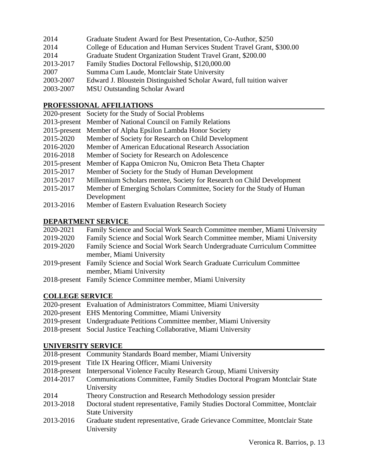| 2014      | Graduate Student Award for Best Presentation, Co-Author, \$250         |
|-----------|------------------------------------------------------------------------|
| 2014      | College of Education and Human Services Student Travel Grant, \$300.00 |
| 2014      | Graduate Student Organization Student Travel Grant, \$200.00           |
| 2013-2017 | Family Studies Doctoral Fellowship, \$120,000.00                       |
| 2007      | Summa Cum Laude, Montclair State University                            |
| 2003-2007 | Edward J. Bloustein Distinguished Scholar Award, full tuition waiver   |
| 2003-2007 | <b>MSU Outstanding Scholar Award</b>                                   |

## **PROFESSIONAL AFFILIATIONS**

|           | 2020-present Society for the Study of Social Problems                 |
|-----------|-----------------------------------------------------------------------|
|           | 2013-present Member of National Council on Family Relations           |
|           | 2015-present Member of Alpha Epsilon Lambda Honor Society             |
| 2015-2020 | Member of Society for Research on Child Development                   |
| 2016-2020 | Member of American Educational Research Association                   |
| 2016-2018 | Member of Society for Research on Adolescence                         |
|           | 2015-present Member of Kappa Omicron Nu, Omicron Beta Theta Chapter   |
| 2015-2017 | Member of Society for the Study of Human Development                  |
| 2015-2017 | Millennium Scholars mentee, Society for Research on Child Development |
| 2015-2017 | Member of Emerging Scholars Committee, Society for the Study of Human |
|           | Development                                                           |
| 2013-2016 | Member of Eastern Evaluation Research Society                         |

# **DEPARTMENT SERVICE**

| 2020-2021 | Family Science and Social Work Search Committee member, Miami University         |
|-----------|----------------------------------------------------------------------------------|
| 2019-2020 | Family Science and Social Work Search Committee member, Miami University         |
| 2019-2020 | Family Science and Social Work Search Undergraduate Curriculum Committee         |
|           | member, Miami University                                                         |
|           | 2019-present Family Science and Social Work Search Graduate Curriculum Committee |
|           | member, Miami University                                                         |
|           | 2018-present Family Science Committee member, Miami University                   |
|           |                                                                                  |

# **COLLEGE SERVICE**

| 2020-present Evaluation of Administrators Committee, Miami University   |
|-------------------------------------------------------------------------|
| 2020-present EHS Mentoring Committee, Miami University                  |
| 2019-present Undergraduate Petitions Committee member, Miami University |
| 2018-present Social Justice Teaching Collaborative, Miami University    |

## **UNIVERSITY SERVICE**

| UNIVERSITI BERVICE |                                                                               |
|--------------------|-------------------------------------------------------------------------------|
|                    | 2018-present Community Standards Board member, Miami University               |
|                    | 2019-present Title IX Hearing Officer, Miami University                       |
|                    | 2018-present Interpersonal Violence Faculty Research Group, Miami University  |
| 2014-2017          | Communications Committee, Family Studies Doctoral Program Montclair State     |
|                    | University                                                                    |
| 2014               | Theory Construction and Research Methodology session presider                 |
| 2013-2018          | Doctoral student representative, Family Studies Doctoral Committee, Montclair |
|                    | <b>State University</b>                                                       |
| 2013-2016          | Graduate student representative, Grade Grievance Committee, Montclair State   |
|                    | University                                                                    |
|                    |                                                                               |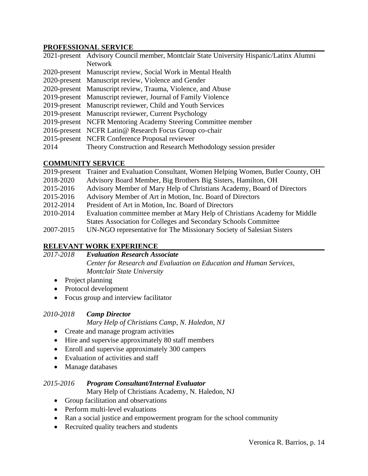### **PROFESSIONAL SERVICE**

|      | 2021-present Advisory Council member, Montclair State University Hispanic/Latinx Alumni |
|------|-----------------------------------------------------------------------------------------|
|      | <b>Network</b>                                                                          |
|      | 2020-present Manuscript review, Social Work in Mental Health                            |
|      | 2020-present Manuscript review, Violence and Gender                                     |
|      | 2020-present Manuscript review, Trauma, Violence, and Abuse                             |
|      | 2019-present Manuscript reviewer, Journal of Family Violence                            |
|      | 2019-present Manuscript reviewer, Child and Youth Services                              |
|      | 2019-present Manuscript reviewer, Current Psychology                                    |
|      | 2019-present NCFR Mentoring Academy Steering Committee member                           |
|      | 2016-present NCFR Latin@ Research Focus Group co-chair                                  |
|      | 2015-present NCFR Conference Proposal reviewer                                          |
| 2014 | Theory Construction and Research Methodology session presider                           |

## **COMMUNITY SERVICE**

| 2019-present | Trainer and Evaluation Consultant, Women Helping Women, Butler County, OH |
|--------------|---------------------------------------------------------------------------|
| 2018-2020    | Advisory Board Member, Big Brothers Big Sisters, Hamilton, OH             |
| 2015-2016    | Advisory Member of Mary Help of Christians Academy, Board of Directors    |
| 2015-2016    | Advisory Member of Art in Motion, Inc. Board of Directors                 |
| 2012-2014    | President of Art in Motion, Inc. Board of Directors                       |
| 2010-2014    | Evaluation committee member at Mary Help of Christians Academy for Middle |
|              | States Association for Colleges and Secondary Schools Committee           |
| 2007-2015    | UN-NGO representative for The Missionary Society of Salesian Sisters      |

## **RELEVANT WORK EXPERIENCE**

*2017-2018 Evaluation Research Associate Center for Research and Evaluation on Education and Human Services, Montclair State University*

- Project planning
- Protocol development
- Focus group and interview facilitator

## *2010-2018 Camp Director*

*Mary Help of Christians Camp, N. Haledon, NJ*

- Create and manage program activities
- Hire and supervise approximately 80 staff members
- Enroll and supervise approximately 300 campers
- Evaluation of activities and staff
- Manage databases

## *2015-2016 Program Consultant/Internal Evaluator*

Mary Help of Christians Academy, N. Haledon, NJ

- Group facilitation and observations
- Perform multi-level evaluations
- Ran a social justice and empowerment program for the school community
- Recruited quality teachers and students